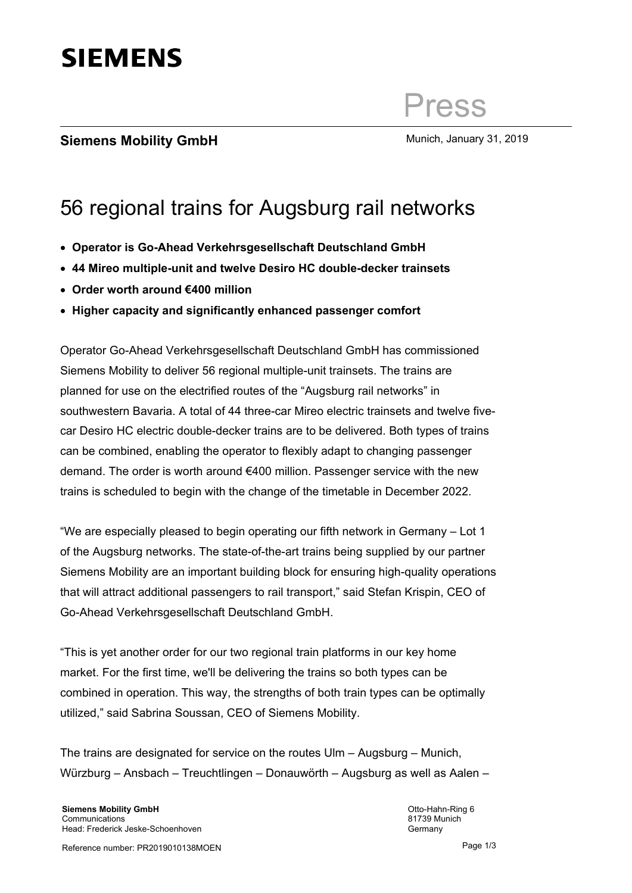

## Press

## **Siemens Mobility GmbH** Munich, January 31, 2019

## 56 regional trains for Augsburg rail networks

- **Operator is Go-Ahead Verkehrsgesellschaft Deutschland GmbH**
- **44 Mireo multiple-unit and twelve Desiro HC double-decker trainsets**
- **Order worth around €400 million**
- **Higher capacity and significantly enhanced passenger comfort**

Operator Go-Ahead Verkehrsgesellschaft Deutschland GmbH has commissioned Siemens Mobility to deliver 56 regional multiple-unit trainsets. The trains are planned for use on the electrified routes of the "Augsburg rail networks" in southwestern Bavaria. A total of 44 three-car Mireo electric trainsets and twelve fivecar Desiro HC electric double-decker trains are to be delivered. Both types of trains can be combined, enabling the operator to flexibly adapt to changing passenger demand. The order is worth around €400 million. Passenger service with the new trains is scheduled to begin with the change of the timetable in December 2022.

"We are especially pleased to begin operating our fifth network in Germany – Lot 1 of the Augsburg networks. The state-of-the-art trains being supplied by our partner Siemens Mobility are an important building block for ensuring high-quality operations that will attract additional passengers to rail transport," said Stefan Krispin, CEO of Go-Ahead Verkehrsgesellschaft Deutschland GmbH.

"This is yet another order for our two regional train platforms in our key home market. For the first time, we'll be delivering the trains so both types can be combined in operation. This way, the strengths of both train types can be optimally utilized," said Sabrina Soussan, CEO of Siemens Mobility.

The trains are designated for service on the routes Ulm – Augsburg – Munich, Würzburg – Ansbach – Treuchtlingen – Donauwörth – Augsburg as well as Aalen –

Otto-Hahn-Ring 6 81739 Munich Germany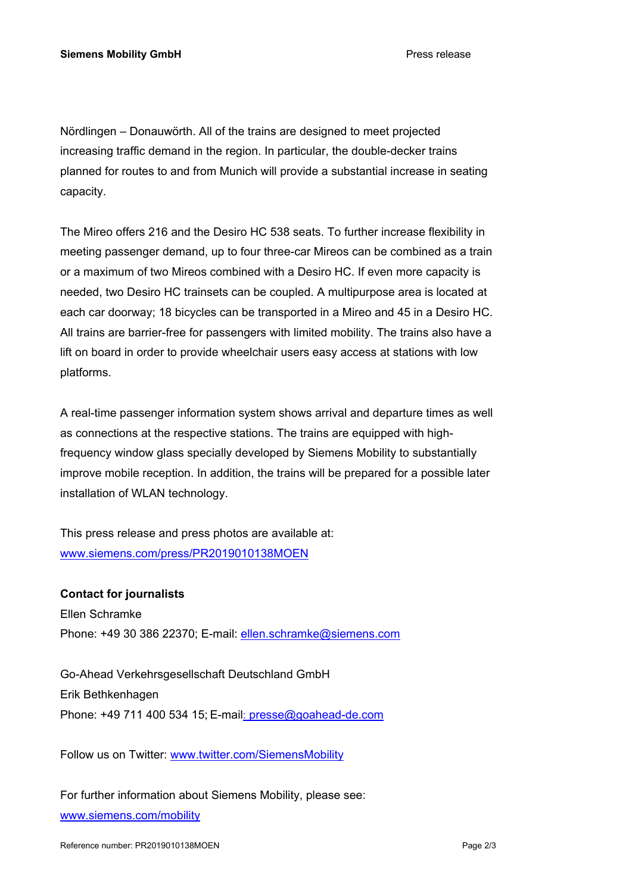Nördlingen – Donauwörth. All of the trains are designed to meet projected increasing traffic demand in the region. In particular, the double-decker trains planned for routes to and from Munich will provide a substantial increase in seating capacity.

The Mireo offers 216 and the Desiro HC 538 seats. To further increase flexibility in meeting passenger demand, up to four three-car Mireos can be combined as a train or a maximum of two Mireos combined with a Desiro HC. If even more capacity is needed, two Desiro HC trainsets can be coupled. A multipurpose area is located at each car doorway; 18 bicycles can be transported in a Mireo and 45 in a Desiro HC. All trains are barrier-free for passengers with limited mobility. The trains also have a lift on board in order to provide wheelchair users easy access at stations with low platforms.

A real-time passenger information system shows arrival and departure times as well as connections at the respective stations. The trains are equipped with highfrequency window glass specially developed by Siemens Mobility to substantially improve mobile reception. In addition, the trains will be prepared for a possible later installation of WLAN technology.

This press release and press photos are available at: www.siemens.com/press/PR2019010138MOEN

## **Contact for journalists**

Ellen Schramke Phone: +49 30 386 22370; E-mail: ellen.schramke@siemens.com

Go-Ahead Verkehrsgesellschaft Deutschland GmbH Erik Bethkenhagen Phone: +49 711 400 534 15; E-mail: presse@goahead-de.com

Follow us on Twitter: www.twitter.com/SiemensMobility

For further information about Siemens Mobility, please see: www.siemens.com/mobility